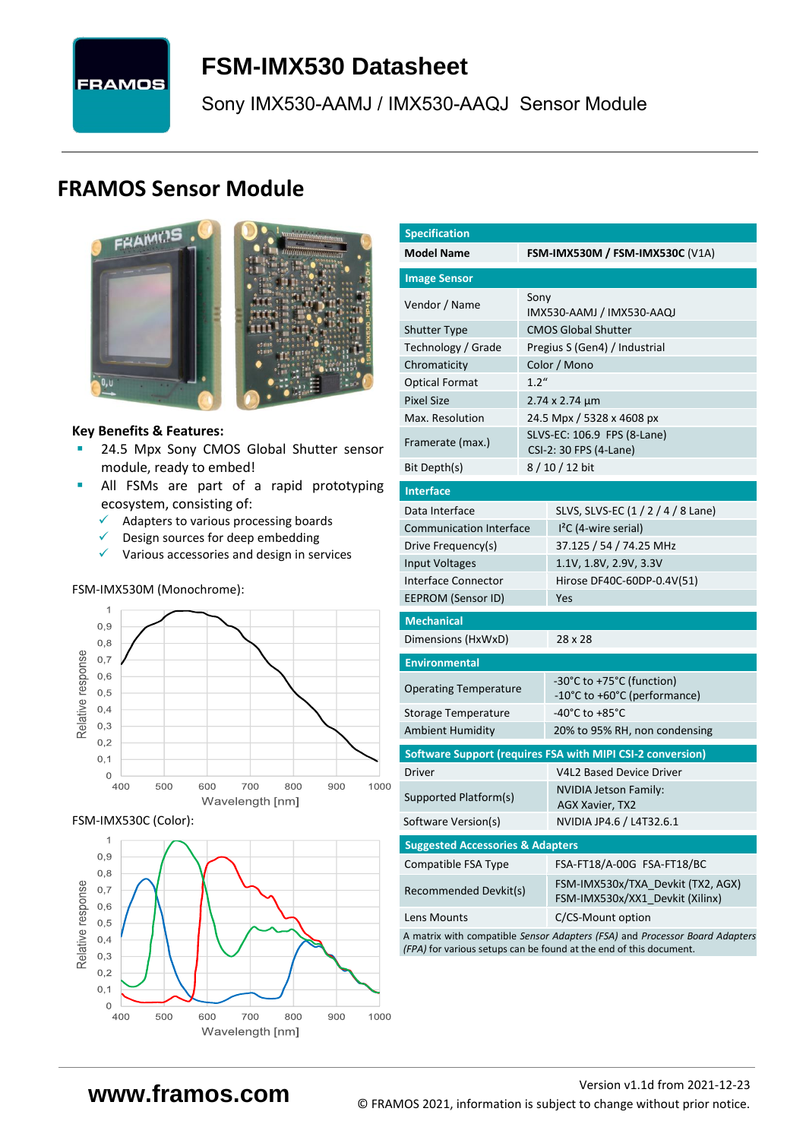# **FRAMOS**

## <span id="page-0-7"></span>**FSM-IMX530 [Datasheet](#page-0-0)**

[Sony](#page-0-1) [IMX530-AAMJ / IMX530-AAQJ](#page-0-2) Sensor Module

### **FRAMOS Sensor Module**



<span id="page-0-3"></span><span id="page-0-0"></span>

#### **Key Benefits & Features:**

- **[24.5](#page-0-4) Mpx [Sony](#page-0-1) [CMOS Global Shutter](#page-0-5) sensor** module, ready to embed!
- **E** All FSMs are part of a rapid prototyping ecosystem, consisting of:
	- ✓ Adapters to various processing boards
	- ✓ Design sources for deep embedding
	- ✓ Various accessories and design in services

#### FSM-IMX530M (Monochrome):



#### FSM-IMX530C (Color):



<span id="page-0-6"></span><span id="page-0-5"></span><span id="page-0-4"></span><span id="page-0-2"></span><span id="page-0-1"></span>

| <b>Specification</b>                        |       |                                                                             |  |  |  |  |  |
|---------------------------------------------|-------|-----------------------------------------------------------------------------|--|--|--|--|--|
| <b>Model Name</b>                           |       | <b>FSM-IMX530M / FSM-IMX530C (V1A)</b>                                      |  |  |  |  |  |
| <b>Image Sensor</b>                         |       |                                                                             |  |  |  |  |  |
| Vendor / Name                               | Sony  | IMX530-AAMJ / IMX530-AAQJ                                                   |  |  |  |  |  |
| <b>Shutter Type</b>                         |       | <b>CMOS Global Shutter</b>                                                  |  |  |  |  |  |
| Technology / Grade                          |       | Pregius S (Gen4) / Industrial                                               |  |  |  |  |  |
| Chromaticity                                |       | Color / Mono                                                                |  |  |  |  |  |
| <b>Optical Format</b>                       | 1.2'' |                                                                             |  |  |  |  |  |
| <b>Pixel Size</b>                           |       | 2.74 x 2.74 µm                                                              |  |  |  |  |  |
| Max. Resolution                             |       | 24.5 Mpx / 5328 x 4608 px                                                   |  |  |  |  |  |
|                                             |       | SLVS-EC: 106.9 FPS (8-Lane)                                                 |  |  |  |  |  |
| Framerate (max.)                            |       | CSI-2: 30 FPS (4-Lane)                                                      |  |  |  |  |  |
| Bit Depth(s)                                |       | 8 / 10 / 12 bit                                                             |  |  |  |  |  |
| <b>Interface</b>                            |       |                                                                             |  |  |  |  |  |
| Data Interface                              |       | SLVS, SLVS-EC (1 / 2 / 4 / 8 Lane)                                          |  |  |  |  |  |
| <b>Communication Interface</b>              |       | $I2C$ (4-wire serial)                                                       |  |  |  |  |  |
| Drive Frequency(s)                          |       | 37.125 / 54 / 74.25 MHz                                                     |  |  |  |  |  |
| <b>Input Voltages</b>                       |       | 1.1V, 1.8V, 2.9V, 3.3V                                                      |  |  |  |  |  |
| Interface Connector                         |       | Hirose DF40C-60DP-0.4V(51)                                                  |  |  |  |  |  |
| EEPROM (Sensor ID)                          |       | Yes                                                                         |  |  |  |  |  |
| <b>Mechanical</b>                           |       |                                                                             |  |  |  |  |  |
| Dimensions (HxWxD)                          |       | 28 x 28                                                                     |  |  |  |  |  |
| <b>Environmental</b>                        |       |                                                                             |  |  |  |  |  |
| <b>Operating Temperature</b>                |       | -30°C to +75°C (function)                                                   |  |  |  |  |  |
|                                             |       | -10°C to +60°C (performance)<br>-40°C to +85°C                              |  |  |  |  |  |
| <b>Storage Temperature</b>                  |       |                                                                             |  |  |  |  |  |
| <b>Ambient Humidity</b>                     |       | 20% to 95% RH, non condensing                                               |  |  |  |  |  |
|                                             |       | Software Support (requires FSA with MIPI CSI-2 conversion)                  |  |  |  |  |  |
| Driver                                      |       | V4L2 Based Device Driver                                                    |  |  |  |  |  |
| Supported Platform(s)                       |       | NVIDIA Jetson Family:<br>AGX Xavier, TX2                                    |  |  |  |  |  |
| Software Version(s)                         |       | NVIDIA JP4.6 / L4T32.6.1                                                    |  |  |  |  |  |
| <b>Suggested Accessories &amp; Adapters</b> |       |                                                                             |  |  |  |  |  |
| Compatible FSA Type                         |       | FSA-FT18/A-00G FSA-FT18/BC                                                  |  |  |  |  |  |
| Recommended Devkit(s)                       |       | FSM-IMX530x/TXA Devkit (TX2, AGX)<br>FSM-IMX530x/XX1_Devkit (Xilinx)        |  |  |  |  |  |
| Lens Mounts                                 |       | C/CS-Mount option                                                           |  |  |  |  |  |
|                                             |       | A matrix with compatible Sensor Adapters (FSA) and Processor Board Adapters |  |  |  |  |  |

*(FPA)* for various setups can be found at the end of this document.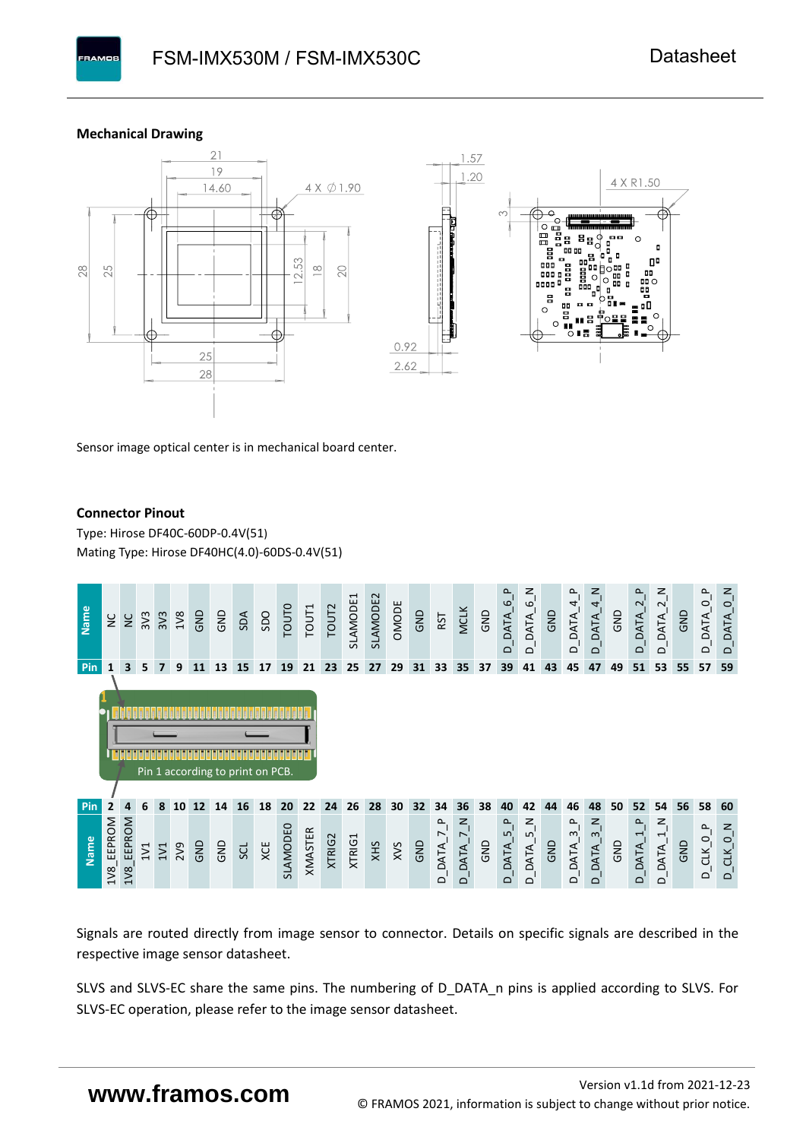

**BAMOS** 



Sensor image optical center is in mechanical board center.

#### **Connector Pinout**

Type: [Hirose DF40C-60DP-0.4V\(51](#page-0-6)[\)](#page-0-6)  Mating Type: Hirose DF40HC(4.0)-60DS-0.4V(51)



Signals are routed directly from image sensor to connector. Details on specific signals are described in the respective image sensor datasheet.

SLVS and SLVS-EC share the same pins. The numbering of D\_DATA\_n pins is applied according to SLVS. For SLVS-EC operation, please refer to the image sensor datasheet.

### **www.framos.com**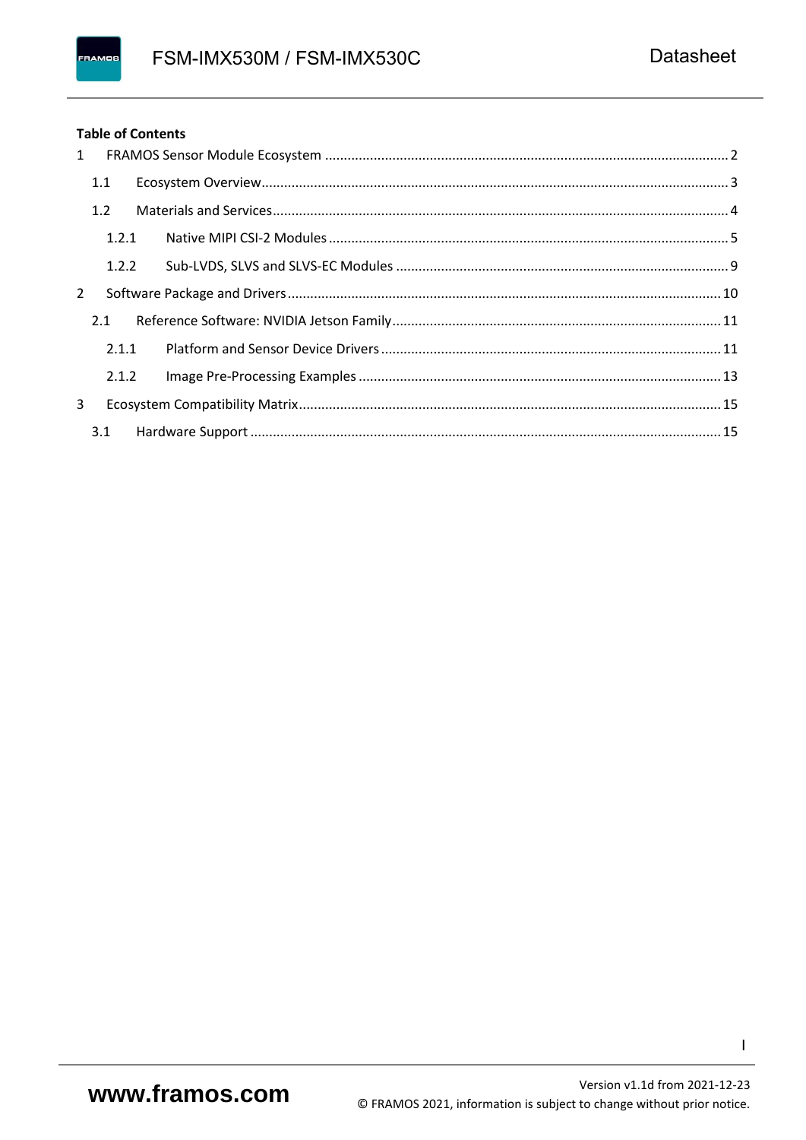#### **Table of Contents**

|              | $1 \quad$ |  |
|--------------|-----------|--|
|              | 1.1       |  |
|              | 1.2       |  |
|              | 1.2.1     |  |
|              | 1.2.2     |  |
| $\mathbf{2}$ |           |  |
|              | 2.1       |  |
|              | 2.1.1     |  |
|              | 2.1.2     |  |
| 3            |           |  |
|              | 3.1       |  |

 $\mathbf{I}$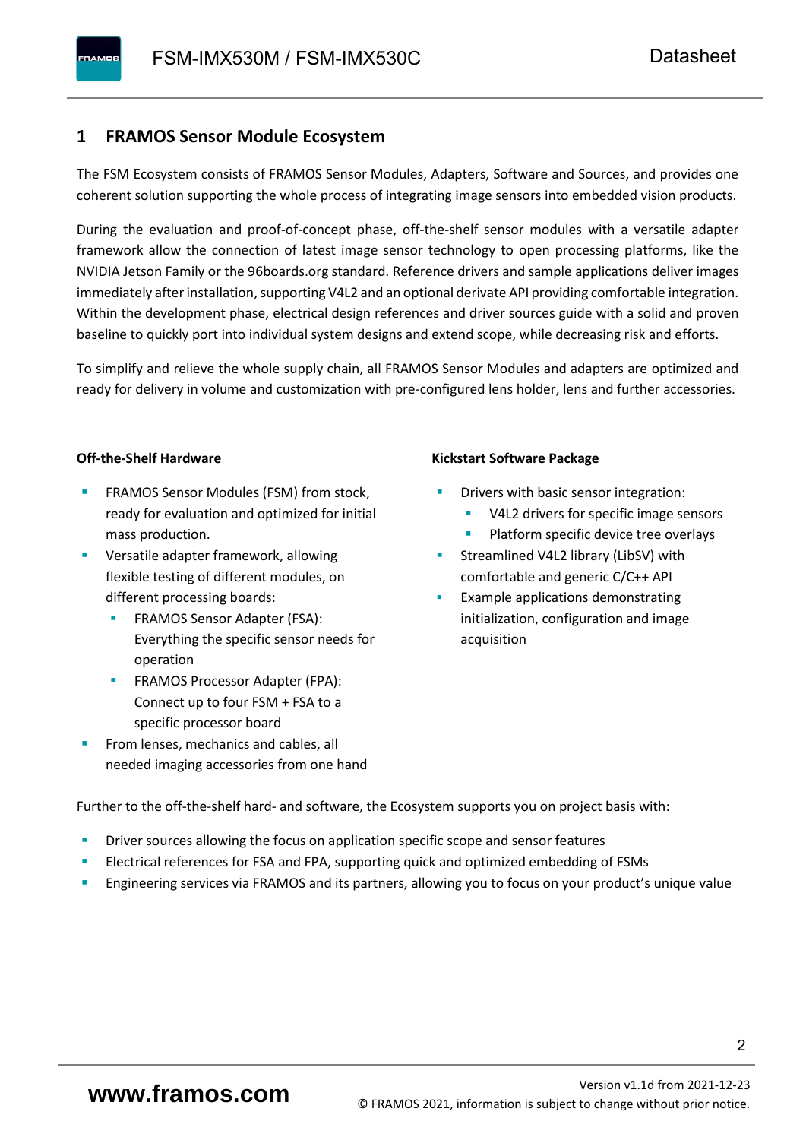#### <span id="page-3-0"></span>**1 FRAMOS Sensor Module Ecosystem**

The FSM Ecosystem consists of FRAMOS Sensor Modules, Adapters, Software and Sources, and provides one coherent solution supporting the whole process of integrating image sensors into embedded vision products.

During the evaluation and proof-of-concept phase, off-the-shelf sensor modules with a versatile adapter framework allow the connection of latest image sensor technology to open processing platforms, like the NVIDIA Jetson Family or the 96boards.org standard. Reference drivers and sample applications deliver images immediately after installation, supporting V4L2 and an optional derivate API providing comfortable integration. Within the development phase, electrical design references and driver sources guide with a solid and proven baseline to quickly port into individual system designs and extend scope, while decreasing risk and efforts.

To simplify and relieve the whole supply chain, all FRAMOS Sensor Modules and adapters are optimized and ready for delivery in volume and customization with pre-configured lens holder, lens and further accessories.

#### **Off-the-Shelf Hardware**

- FRAMOS Sensor Modules (FSM) from stock, ready for evaluation and optimized for initial mass production.
- Versatile adapter framework, allowing flexible testing of different modules, on different processing boards:
	- FRAMOS Sensor Adapter (FSA): Everything the specific sensor needs for operation
	- FRAMOS Processor Adapter (FPA): Connect up to four FSM + FSA to a specific processor board
- From lenses, mechanics and cables, all needed imaging accessories from one hand

#### **Kickstart Software Package**

- Drivers with basic sensor integration:
	- V4L2 drivers for specific image sensors
	- Platform specific device tree overlays
- Streamlined V4L2 library (LibSV) with comfortable and generic C/C++ API
- Example applications demonstrating initialization, configuration and image acquisition

Further to the off-the-shelf hard- and software, the Ecosystem supports you on project basis with:

- Driver sources allowing the focus on application specific scope and sensor features
- Electrical references for FSA and FPA, supporting quick and optimized embedding of FSMs
- Engineering services via FRAMOS and its partners, allowing you to focus on your product's unique value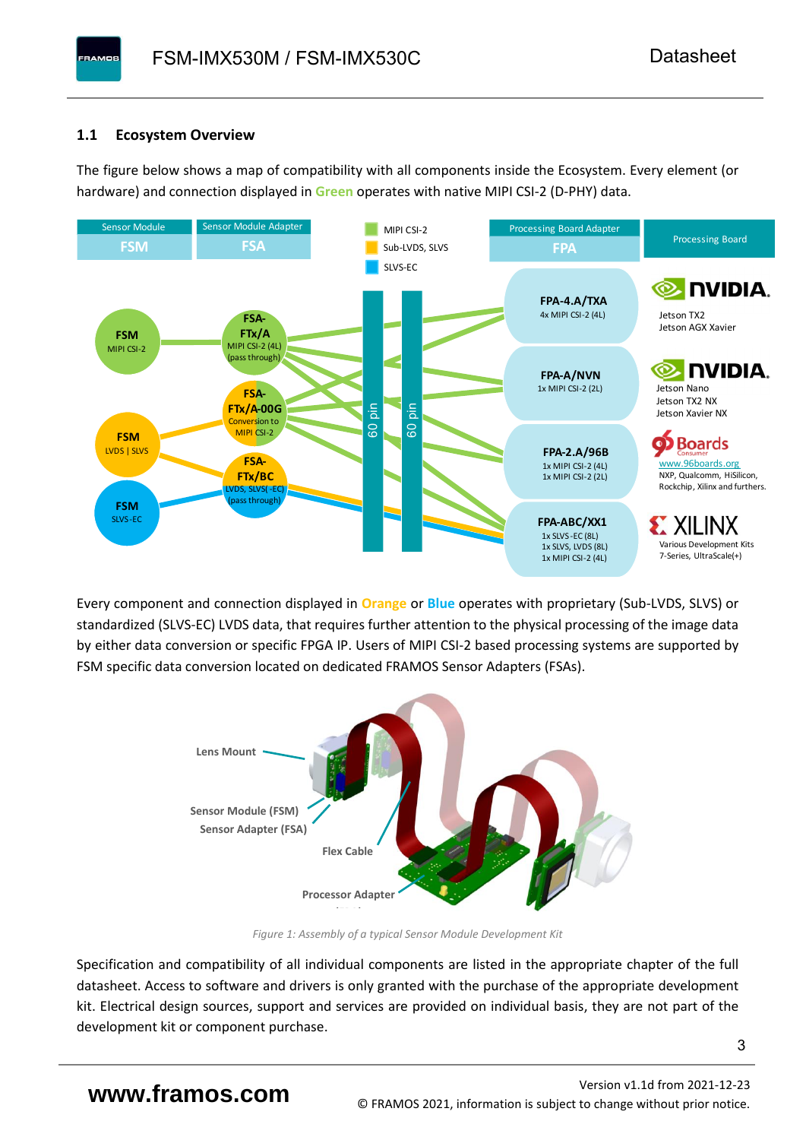#### <span id="page-4-0"></span>**1.1 Ecosystem Overview**

**PAMOS** 

The figure below shows a map of compatibility with all components inside the Ecosystem. Every element (or hardware) and connection displayed in **Green** operates with native MIPI CSI-2 (D-PHY) data.



Every component and connection displayed in **Orange** or **Blue** operates with proprietary (Sub-LVDS, SLVS) or standardized (SLVS-EC) LVDS data, that requires further attention to the physical processing of the image data by either data conversion or specific FPGA IP. Users of MIPI CSI-2 based processing systems are supported by FSM specific data conversion located on dedicated FRAMOS Sensor Adapters (FSAs).



*Figure 1: Assembly of a typical Sensor Module Development Kit*

Specification and compatibility of all individual components are listed in the appropriate chapter of the full datasheet. Access to software and drivers is only granted with the purchase of the appropriate development kit. Electrical design sources, support and services are provided on individual basis, they are not part of the development kit or component purchase.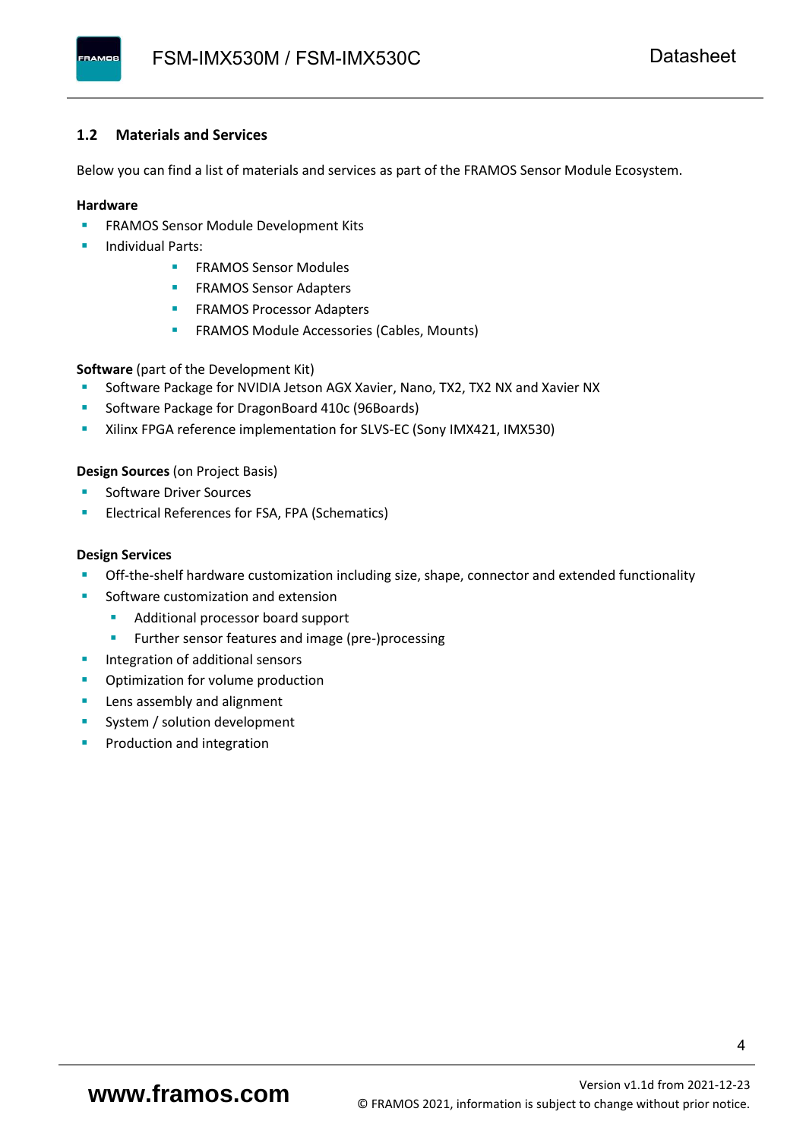#### <span id="page-5-0"></span>**1.2 Materials and Services**

Below you can find a list of materials and services as part of the FRAMOS Sensor Module Ecosystem.

#### **Hardware**

- **EXECTED FRAMOS Sensor Module Development Kits**
- **Individual Parts:** 
	- FRAMOS Sensor Modules
	- **FRAMOS Sensor Adapters**
	- **EXAMOS Processor Adapters**
	- **EXECTED** FRAMOS Module Accessories (Cables, Mounts)

**Software** (part of the Development Kit)

- Software Package for NVIDIA Jetson AGX Xavier, Nano, TX2, TX2 NX and Xavier NX
- Software Package for DragonBoard 410c (96Boards)
- **E** Xilinx FPGA reference implementation for SLVS-EC (Sony IMX421, IMX530)

#### **Design Sources** (on Project Basis)

- Software Driver Sources
- Electrical References for FSA, FPA (Schematics)

#### **Design Services**

- Off-the-shelf hardware customization including size, shape, connector and extended functionality
- Software customization and extension
	- Additional processor board support
	- Further sensor features and image (pre-)processing
- **■** Integration of additional sensors
- **•** Optimization for volume production
- Lens assembly and alignment
- System / solution development
- Production and integration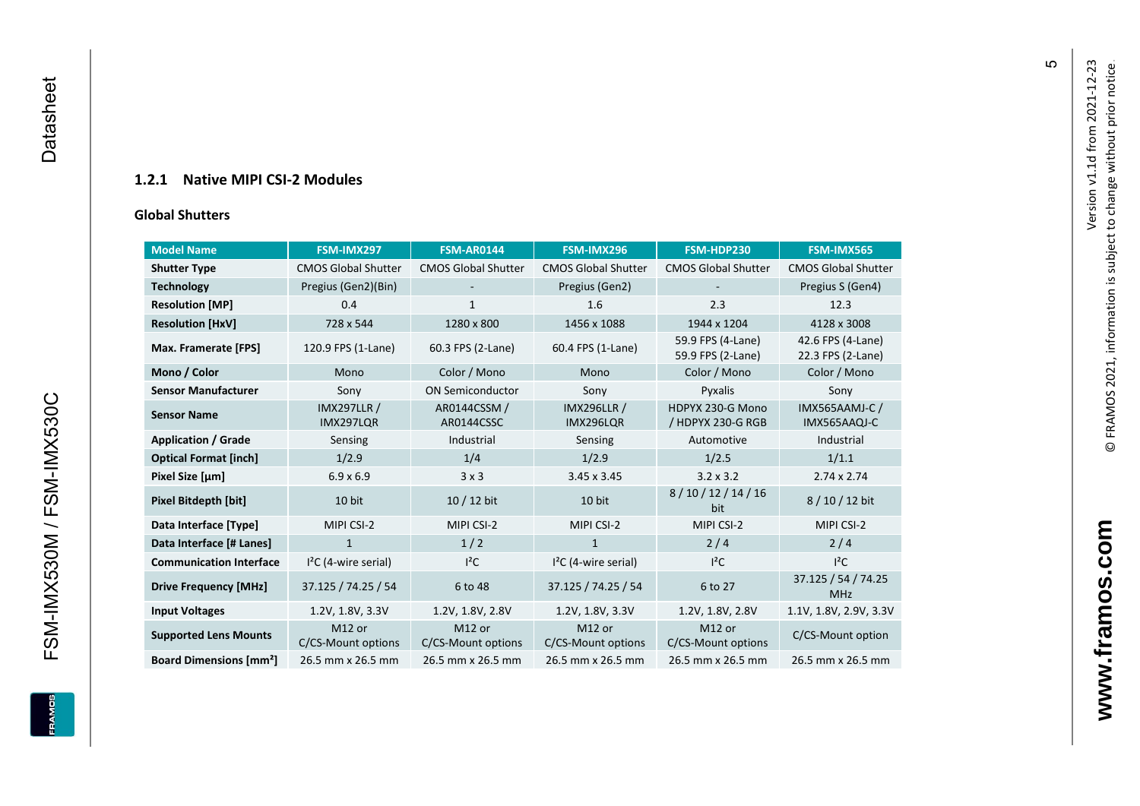#### **1.2.1 Native MIPI CSI - 2 Modules**

#### **[Global Shu](#page-0-7)tters**

<span id="page-6-0"></span>

| <b>Model Name</b>                        | FSM-IMX297                      | <b>FSM-AR0144</b>            | FSM-IMX296                      | FSM-HDP230                             | FSM-IMX565                             |
|------------------------------------------|---------------------------------|------------------------------|---------------------------------|----------------------------------------|----------------------------------------|
| <b>Shutter Type</b>                      | <b>CMOS Global Shutter</b>      | <b>CMOS Global Shutter</b>   | <b>CMOS Global Shutter</b>      | <b>CMOS Global Shutter</b>             | <b>CMOS Global Shutter</b>             |
| <b>Technology</b>                        | Pregius (Gen2)(Bin)             |                              | Pregius (Gen2)                  |                                        | Pregius S (Gen4)                       |
| <b>Resolution [MP]</b>                   | 0.4                             | $\mathbf{1}$                 | 1.6                             | 2.3                                    | 12.3                                   |
| <b>Resolution [HxV]</b>                  | 728 x 544                       | 1280 x 800                   | 1456 x 1088                     | 1944 x 1204                            | 4128 x 3008                            |
| Max. Framerate [FPS]                     | 120.9 FPS (1-Lane)              | 60.3 FPS (2-Lane)            | 60.4 FPS (1-Lane)               | 59.9 FPS (4-Lane)<br>59.9 FPS (2-Lane) | 42.6 FPS (4-Lane)<br>22.3 FPS (2-Lane) |
| Mono / Color                             | Mono                            | Color / Mono                 | Mono                            | Color / Mono                           | Color / Mono                           |
| <b>Sensor Manufacturer</b>               | Sony                            | <b>ON Semiconductor</b>      | Sony                            | Pyxalis                                | Sony                                   |
| <b>Sensor Name</b>                       | <b>IMX297LLR /</b><br>IMX297LQR | AR0144CSSM /<br>AR0144CSSC   | <b>IMX296LLR /</b><br>IMX296LQR | HDPYX 230-G Mono<br>/ HDPYX 230-G RGB  | <b>IMX565AAMJ-C/</b><br>IMX565AAQJ-C   |
| <b>Application / Grade</b>               | Sensing                         | Industrial                   | Sensing                         | Automotive                             | Industrial                             |
| <b>Optical Format [inch]</b>             | 1/2.9                           | 1/4                          | 1/2.9                           | 1/2.5                                  | 1/1.1                                  |
| Pixel Size [µm]                          | $6.9 \times 6.9$                | 3x3                          | $3.45 \times 3.45$              | $3.2 \times 3.2$                       | $2.74 \times 2.74$                     |
| <b>Pixel Bitdepth [bit]</b>              | 10 bit                          | $10/12$ bit                  | 10 bit                          | 8/10/12/14/16<br>bit                   | 8/10/12 bit                            |
| Data Interface [Type]                    | MIPI CSI-2                      | MIPI CSI-2                   | MIPI CSI-2                      | MIPI CSI-2                             | MIPI CSI-2                             |
| Data Interface [# Lanes]                 | $\mathbf{1}$                    | 1/2                          | $\mathbf{1}$                    | 2/4                                    | 2/4                                    |
| <b>Communication Interface</b>           | $I2C$ (4-wire serial)           | $I^2C$                       | $I2C$ (4-wire serial)           | $I^2C$                                 | $I^2C$                                 |
| <b>Drive Frequency [MHz]</b>             | 37.125 / 74.25 / 54             | 6 to 48                      | 37.125 / 74.25 / 54             | 6 to 27                                | 37.125 / 54 / 74.25<br><b>MHz</b>      |
| <b>Input Voltages</b>                    | 1.2V, 1.8V, 3.3V                | 1.2V, 1.8V, 2.8V             | 1.2V, 1.8V, 3.3V                | 1.2V, 1.8V, 2.8V                       | 1.1V, 1.8V, 2.9V, 3.3V                 |
| <b>Supported Lens Mounts</b>             | M12 or<br>C/CS-Mount options    | M12 or<br>C/CS-Mount options | M12 or<br>C/CS-Mount options    | M12 or<br>C/CS-Mount options           | C/CS-Mount option                      |
| <b>Board Dimensions [mm<sup>2</sup>]</b> | 26.5 mm x 26.5 mm               | 26.5 mm x 26.5 mm            | 26.5 mm x 26.5 mm               | 26.5 mm x 26.5 mm                      | 26.5 mm x 26.5 mm                      |

Version v1.1d from 2021-12-23

Version v1.1d from 2021-12-23

© FRAMOS 2021, information i[s su](mailto:sales@framos.de)bject to change without prior notice.

© FRAMOS 2021, information is subject to change without prior notice.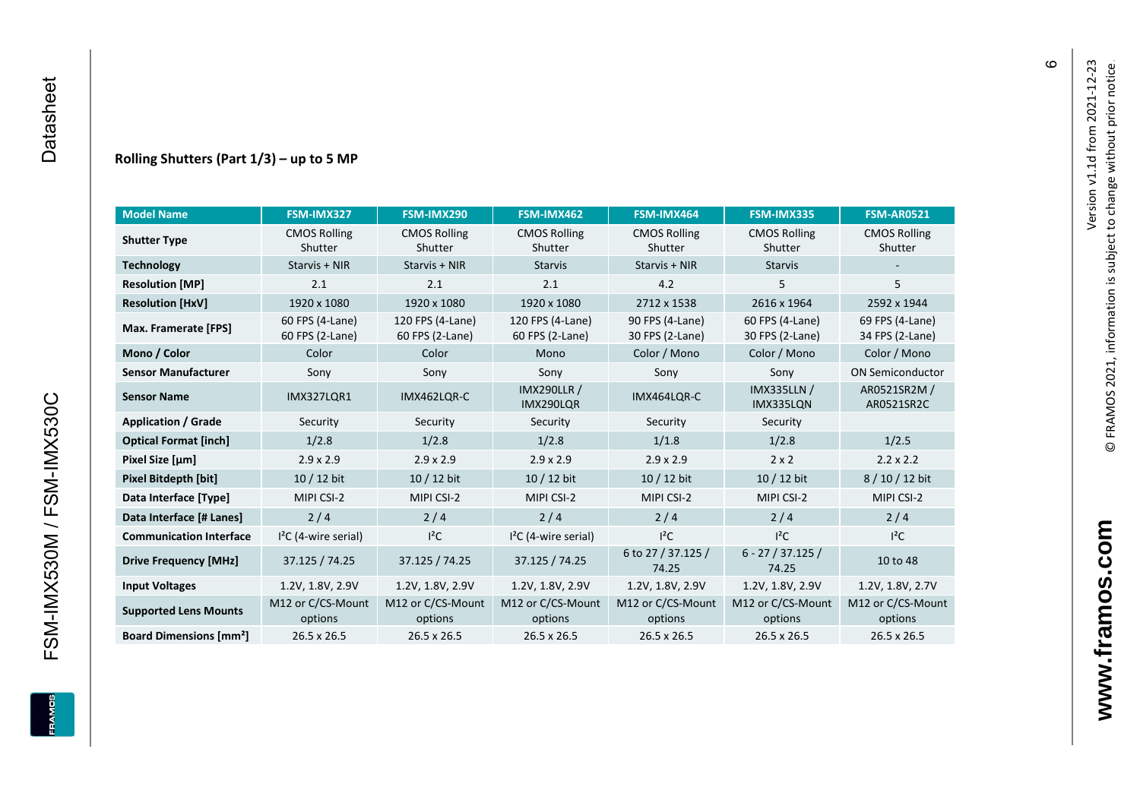FSM-IMX530M / FSM-IMX530C

**ERAMOS** 

#### **Rolling Shutters (Part 1/ 3 ) – up to 5 MP**

| <b>Model Name</b>                        | FSM-IMX327                         | FSM-IMX290                          | FSM-IMX462                           | FSM-IMX464                         | FSM-IMX335                         | <b>FSM-AR0521</b>                  |
|------------------------------------------|------------------------------------|-------------------------------------|--------------------------------------|------------------------------------|------------------------------------|------------------------------------|
| <b>Shutter Type</b>                      | <b>CMOS Rolling</b><br>Shutter     | <b>CMOS Rolling</b><br>Shutter      | <b>CMOS Rolling</b><br>Shutter       | <b>CMOS Rolling</b><br>Shutter     | <b>CMOS Rolling</b><br>Shutter     | <b>CMOS Rolling</b><br>Shutter     |
| <b>Technology</b>                        | Starvis + NIR                      | Starvis + NIR                       | <b>Starvis</b>                       | Starvis + NIR                      | <b>Starvis</b>                     |                                    |
| <b>Resolution [MP]</b>                   | 2.1                                | 2.1                                 | 2.1                                  | 4.2                                | 5                                  | 5                                  |
| <b>Resolution [HxV]</b>                  | 1920 x 1080                        | 1920 x 1080                         | 1920 x 1080                          | 2712 x 1538                        | 2616 x 1964                        | 2592 x 1944                        |
| Max. Framerate [FPS]                     | 60 FPS (4-Lane)<br>60 FPS (2-Lane) | 120 FPS (4-Lane)<br>60 FPS (2-Lane) | 120 FPS (4-Lane)<br>60 FPS (2-Lane)  | 90 FPS (4-Lane)<br>30 FPS (2-Lane) | 60 FPS (4-Lane)<br>30 FPS (2-Lane) | 69 FPS (4-Lane)<br>34 FPS (2-Lane) |
| Mono / Color                             | Color                              | Color                               | Mono                                 | Color / Mono                       | Color / Mono                       | Color / Mono                       |
| <b>Sensor Manufacturer</b>               | Sony                               | Sony                                | Sony                                 | Sony                               | Sony                               | <b>ON Semiconductor</b>            |
| <b>Sensor Name</b>                       | <b>IMX327LOR1</b>                  | IMX462LQR-C                         | <b>IMX290LLR /</b><br>IMX290LQR      | IMX464LQR-C                        | <b>IMX335LLN /</b><br>IMX335LQN    | AR0521SR2M /<br>AR0521SR2C         |
| <b>Application / Grade</b>               | Security                           | Security                            | Security                             | Security                           | Security                           |                                    |
| <b>Optical Format [inch]</b>             | 1/2.8                              | 1/2.8                               | 1/2.8<br>1/1.8                       |                                    | 1/2.8                              | 1/2.5                              |
| Pixel Size [µm]                          | $2.9 \times 2.9$                   | $2.9 \times 2.9$                    | $2.9 \times 2.9$<br>$2.9 \times 2.9$ |                                    | $2 \times 2$                       | $2.2 \times 2.2$                   |
| <b>Pixel Bitdepth [bit]</b>              | 10 / 12 bit                        | 10 / 12 bit                         | 10 / 12 bit<br>10 / 12 bit           |                                    | 10 / 12 bit                        | 8/10/12 bit                        |
| Data Interface [Type]                    | MIPI CSI-2                         | MIPI CSI-2                          | MIPI CSI-2                           | MIPI CSI-2                         | MIPI CSI-2                         | MIPI CSI-2                         |
| Data Interface [# Lanes]                 | 2/4                                | 2/4                                 | 2/4                                  | 2/4                                | 2/4                                | 2/4                                |
| <b>Communication Interface</b>           | $I2C$ (4-wire serial)              | $l^2C$                              | $12C$ (4-wire serial)                | $I^2C$                             | $I^2C$                             | $l^2C$                             |
| <b>Drive Frequency [MHz]</b>             | 37.125 / 74.25                     | 37.125 / 74.25                      | 37.125 / 74.25                       | 6 to 27 / 37.125 /<br>74.25        | $6 - 27 / 37.125 /$<br>74.25       | 10 to 48                           |
| <b>Input Voltages</b>                    | 1.2V, 1.8V, 2.9V                   | 1.2V, 1.8V, 2.9V                    | 1.2V, 1.8V, 2.9V                     | 1.2V, 1.8V, 2.9V                   | 1.2V, 1.8V, 2.9V                   | 1.2V, 1.8V, 2.7V                   |
| <b>Supported Lens Mounts</b>             | M12 or C/CS-Mount<br>options       | M12 or C/CS-Mount<br>options        | M12 or C/CS-Mount<br>options         | M12 or C/CS-Mount<br>options       | M12 or C/CS-Mount<br>options       | M12 or C/CS-Mount<br>options       |
| <b>Board Dimensions [mm<sup>2</sup>]</b> | $26.5 \times 26.5$                 | 26.5 x 26.5                         | 26.5 x 26.5                          | $26.5 \times 26.5$                 | 26.5 x 26.5                        | 26.5 x 26.5                        |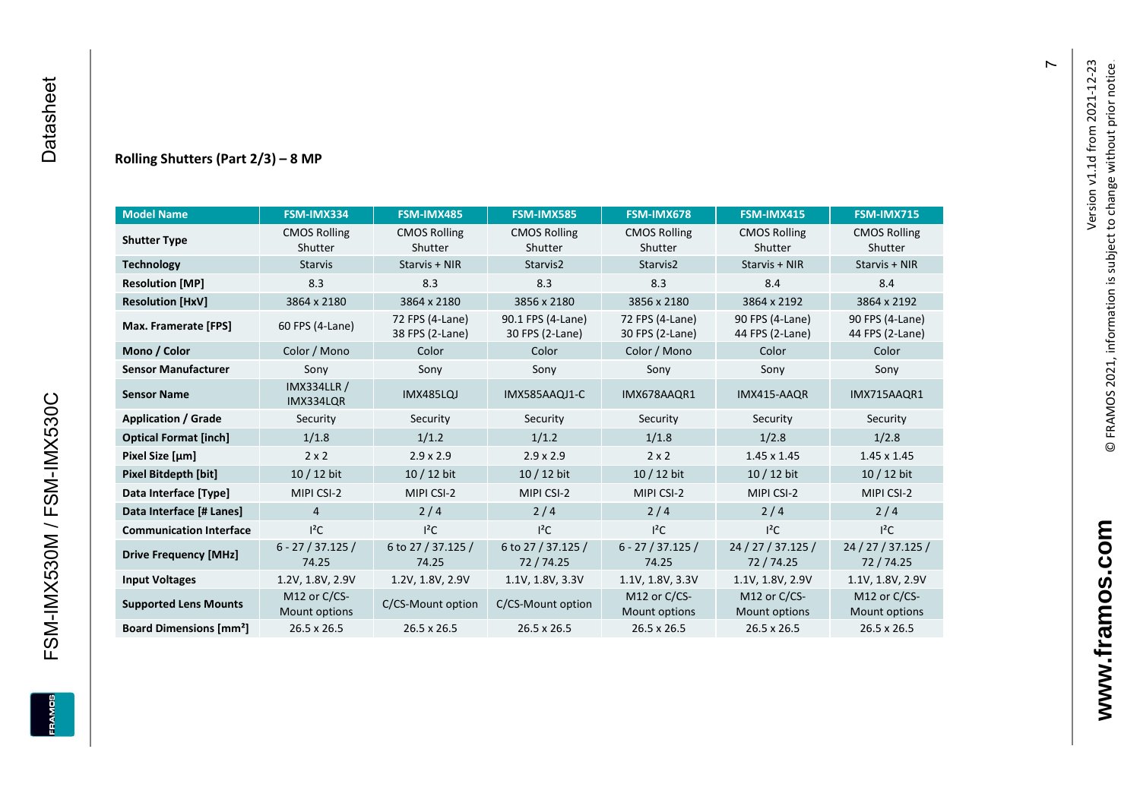#### **Rolling Shutters (Part 2/ 3 ) – 8 MP**

| <b>Model Name</b>                                     | FSM-IMX334                    | FSM-IMX485                         | <b>FSM-IMX585</b>                    | FSM-IMX678                         | FSM-IMX415                         | <b>FSM-IMX715</b>                  |
|-------------------------------------------------------|-------------------------------|------------------------------------|--------------------------------------|------------------------------------|------------------------------------|------------------------------------|
| <b>Shutter Type</b>                                   | <b>CMOS Rolling</b>           | <b>CMOS Rolling</b>                | <b>CMOS Rolling</b>                  | <b>CMOS Rolling</b>                | <b>CMOS Rolling</b>                | <b>CMOS Rolling</b>                |
|                                                       | Shutter                       | Shutter                            | Shutter                              | Shutter                            | Shutter                            | Shutter                            |
| <b>Technology</b>                                     | <b>Starvis</b>                | Starvis + NIR                      | Starvis2                             | Starvis2                           | Starvis + NIR                      | Starvis + NIR                      |
| <b>Resolution [MP]</b>                                | 8.3                           | 8.3                                | 8.3                                  | 8.3                                | 8.4                                | 8.4                                |
| <b>Resolution [HxV]</b>                               | 3864 x 2180                   | 3864 x 2180                        | 3856 x 2180                          | 3856 x 2180                        | 3864 x 2192                        | 3864 x 2192                        |
| Max. Framerate [FPS]                                  | 60 FPS (4-Lane)               | 72 FPS (4-Lane)<br>38 FPS (2-Lane) | 90.1 FPS (4-Lane)<br>30 FPS (2-Lane) | 72 FPS (4-Lane)<br>30 FPS (2-Lane) | 90 FPS (4-Lane)<br>44 FPS (2-Lane) | 90 FPS (4-Lane)<br>44 FPS (2-Lane) |
| Mono / Color                                          | Color / Mono                  | Color                              | Color                                | Color / Mono                       | Color                              | Color                              |
| <b>Sensor Manufacturer</b>                            | Sony                          | Sony                               | Sony                                 | Sony                               | Sony                               | Sony                               |
| <b>IMX334LLR /</b><br><b>Sensor Name</b><br>IMX334LQR |                               | <b>IMX485LQJ</b>                   | IMX585AAQJ1-C                        | IMX678AAQR1                        | IMX415-AAQR                        | IMX715AAQR1                        |
| <b>Application / Grade</b>                            | Security                      | Security                           | Security                             | Security                           | Security                           | Security                           |
| <b>Optical Format [inch]</b>                          | 1/1.8                         | 1/1.2                              | 1/1.2<br>1/1.8                       |                                    | 1/2.8                              | 1/2.8                              |
| Pixel Size [µm]                                       | $2 \times 2$                  | $2.9 \times 2.9$                   | $2.9 \times 2.9$                     | $2 \times 2$                       | $1.45 \times 1.45$                 | $1.45 \times 1.45$                 |
| <b>Pixel Bitdepth [bit]</b>                           | 10 / 12 bit                   | 10 / 12 bit                        | 10 / 12 bit                          | 10 / 12 bit                        | 10 / 12 bit                        | 10 / 12 bit                        |
| Data Interface [Type]                                 | MIPI CSI-2                    | MIPI CSI-2                         | MIPI CSI-2                           | MIPI CSI-2                         | MIPI CSI-2                         | MIPI CSI-2                         |
| Data Interface [# Lanes]                              | $\overline{4}$                | 2/4                                | 2/4                                  | 2/4                                | 2/4                                | 2/4                                |
| <b>Communication Interface</b>                        | $I^2C$                        | $I^2C$                             | $I^2C$                               | $I^2C$                             | $I^2C$                             | $I^2C$                             |
| <b>Drive Frequency [MHz]</b>                          | $6 - 27 / 37.125 /$<br>74.25  | 6 to 27 / 37.125 /<br>74.25        | 6 to 27 / 37.125 /<br>72/74.25       | $6 - 27 / 37.125 /$<br>74.25       | 24 / 27 / 37.125 /<br>72/74.25     | 24 / 27 / 37.125 /<br>72 / 74.25   |
| <b>Input Voltages</b>                                 | 1.2V, 1.8V, 2.9V              | 1.2V, 1.8V, 2.9V                   | 1.1V, 1.8V, 3.3V                     | 1.1V, 1.8V, 3.3V                   | 1.1V, 1.8V, 2.9V                   | 1.1V, 1.8V, 2.9V                   |
| <b>Supported Lens Mounts</b>                          | M12 or C/CS-<br>Mount options | C/CS-Mount option                  | C/CS-Mount option                    | M12 or $C/CS$ -<br>Mount options   | M12 or C/CS-<br>Mount options      | M12 or C/CS-<br>Mount options      |
| <b>Board Dimensions [mm<sup>2</sup>]</b>              | 26.5 x 26.5                   | $26.5 \times 26.5$                 | $26.5 \times 26.5$                   | 26.5 x 26.5                        | $26.5 \times 26.5$                 | $26.5 \times 26.5$                 |

 $\overline{r}$ 

FSM-IMX530M / FSM-IMX530C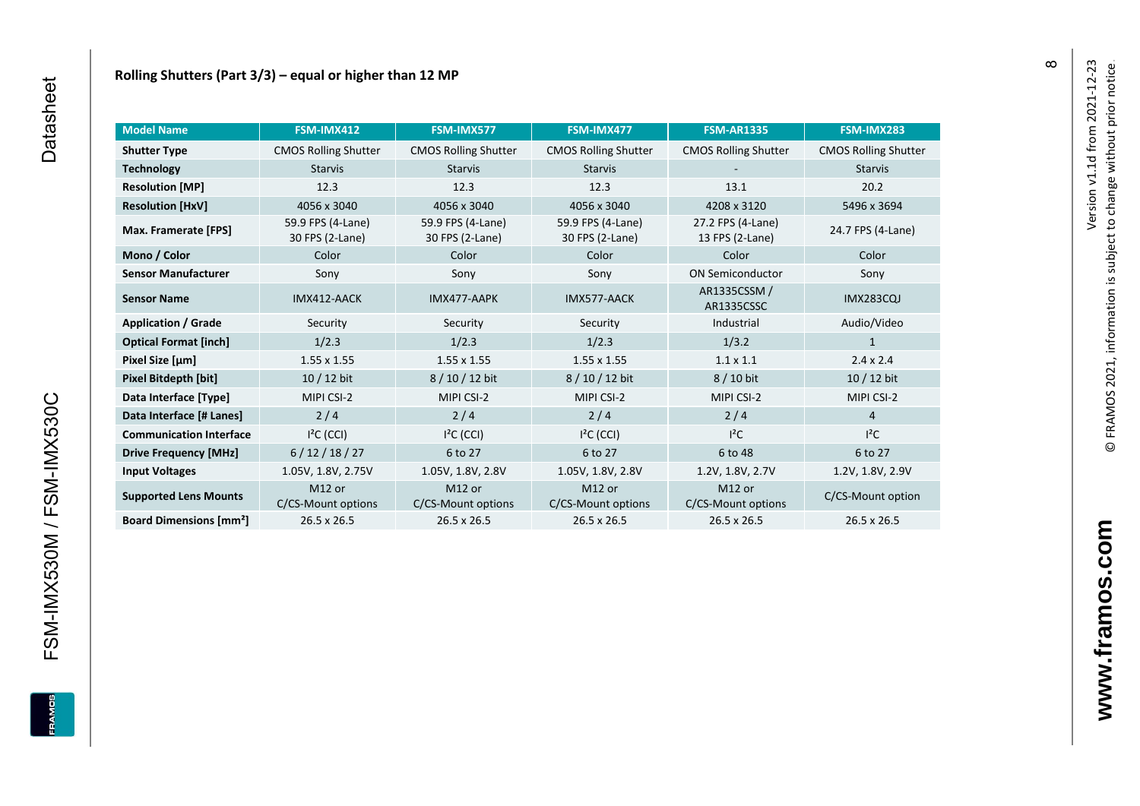| <b>Model Name</b>                        | FSM-IMX412                               | FSM-IMX577                               | FSM-IMX477                               | <b>FSM-AR1335</b>                    | FSM-IMX283                  |
|------------------------------------------|------------------------------------------|------------------------------------------|------------------------------------------|--------------------------------------|-----------------------------|
| <b>Shutter Type</b>                      | <b>CMOS Rolling Shutter</b>              | <b>CMOS Rolling Shutter</b>              | <b>CMOS Rolling Shutter</b>              | <b>CMOS Rolling Shutter</b>          | <b>CMOS Rolling Shutter</b> |
| <b>Technology</b>                        | <b>Starvis</b>                           | <b>Starvis</b>                           | <b>Starvis</b>                           |                                      | <b>Starvis</b>              |
| <b>Resolution [MP]</b>                   | 12.3                                     | 12.3                                     | 12.3                                     | 13.1                                 | 20.2                        |
| <b>Resolution [HxV]</b>                  | 4056 x 3040                              | 4056 x 3040                              | 4056 x 3040                              | 4208 x 3120                          | 5496 x 3694                 |
| Max. Framerate [FPS]                     | 59.9 FPS (4-Lane)<br>30 FPS (2-Lane)     | 59.9 FPS (4-Lane)<br>30 FPS (2-Lane)     | 59.9 FPS (4-Lane)<br>30 FPS (2-Lane)     | 27.2 FPS (4-Lane)<br>13 FPS (2-Lane) | 24.7 FPS (4-Lane)           |
| Mono / Color                             | Color                                    | Color                                    | Color                                    | Color                                | Color                       |
| <b>Sensor Manufacturer</b>               | Sony                                     | Sony                                     | Sony                                     | <b>ON Semiconductor</b>              | Sony                        |
| <b>Sensor Name</b>                       | IMX412-AACK                              | IMX477-AAPK                              | IMX577-AACK                              | AR1335CSSM /<br>AR1335CSSC           | <b>IMX283CQJ</b>            |
| <b>Application / Grade</b>               | Security                                 | Security                                 | Security                                 | Industrial                           | Audio/Video                 |
| <b>Optical Format [inch]</b>             | 1/2.3                                    | 1/2.3                                    | 1/2.3                                    | 1/3.2                                | 1                           |
| Pixel Size [µm]                          | $1.55 \times 1.55$                       | $1.55 \times 1.55$                       | $1.55 \times 1.55$                       | $1.1 \times 1.1$                     | $2.4 \times 2.4$            |
| Pixel Bitdepth [bit]                     | $10/12$ bit                              | 8/10/12 bit                              | 8/10/12 bit                              | 8 / 10 bit                           | $10/12$ bit                 |
| Data Interface [Type]                    | MIPI CSI-2                               | MIPI CSI-2                               | MIPI CSI-2                               | MIPI CSI-2                           | MIPI CSI-2                  |
| Data Interface [# Lanes]                 | 2/4                                      | 2/4                                      | 2/4                                      | 2/4                                  | $\overline{4}$              |
| <b>Communication Interface</b>           | $I2C$ (CCI)                              | $I2C$ (CCI)                              | $I2C$ (CCI)                              | $l^2C$                               | $I^2C$                      |
| <b>Drive Frequency [MHz]</b>             | 6/12/18/27                               | 6 to 27                                  | 6 to 27                                  | 6 to 48                              | 6 to 27                     |
| <b>Input Voltages</b>                    | 1.05V, 1.8V, 2.75V                       | 1.05V, 1.8V, 2.8V                        | 1.05V, 1.8V, 2.8V                        | 1.2V, 1.8V, 2.7V                     | 1.2V, 1.8V, 2.9V            |
| <b>Supported Lens Mounts</b>             | M <sub>12</sub> or<br>C/CS-Mount options | M <sub>12</sub> or<br>C/CS-Mount options | M <sub>12</sub> or<br>C/CS-Mount options | M12 or<br>C/CS-Mount options         | C/CS-Mount option           |
| <b>Board Dimensions [mm<sup>2</sup>]</b> | $26.5 \times 26.5$                       | $26.5 \times 26.5$                       | $26.5 \times 26.5$                       | 26.5 x 26.5                          | 26.5 x 26.5                 |

 $\infty$ 

FSM-IMX530M / FSM-IMX530C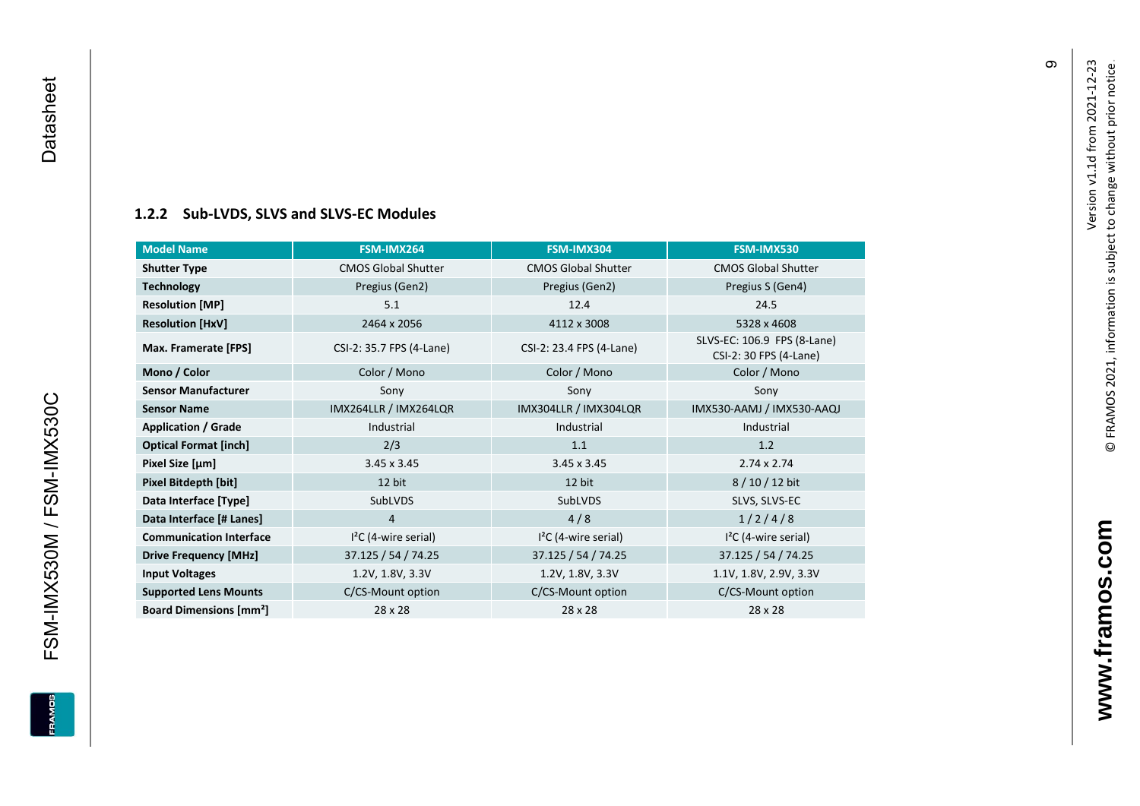#### **[1.2.2](#page-0-7) Sub -LVDS, SLVS and SLVS -EC Modules**

| <b>Model Name</b>                        | FSM-IMX264                 | FSM-IMX304                 | FSM-IMX530                                            |
|------------------------------------------|----------------------------|----------------------------|-------------------------------------------------------|
| <b>Shutter Type</b>                      | <b>CMOS Global Shutter</b> | <b>CMOS Global Shutter</b> | <b>CMOS Global Shutter</b>                            |
| <b>Technology</b>                        | Pregius (Gen2)             | Pregius (Gen2)             | Pregius S (Gen4)                                      |
| <b>Resolution [MP]</b>                   | 5.1                        | 12.4                       | 24.5                                                  |
| <b>Resolution [HxV]</b>                  | 2464 x 2056                | 4112 x 3008                | 5328 x 4608                                           |
| Max. Framerate [FPS]                     | CSI-2: 35.7 FPS (4-Lane)   | CSI-2: 23.4 FPS (4-Lane)   | SLVS-EC: 106.9 FPS (8-Lane)<br>CSI-2: 30 FPS (4-Lane) |
| Mono / Color                             | Color / Mono               | Color / Mono               | Color / Mono                                          |
| <b>Sensor Manufacturer</b>               | Sony                       | Sony                       | Sony                                                  |
| <b>Sensor Name</b>                       | IMX264LLR / IMX264LQR      | IMX304LLR / IMX304LQR      | IMX530-AAMJ / IMX530-AAQJ                             |
| <b>Application / Grade</b>               | Industrial                 | Industrial                 | Industrial                                            |
| <b>Optical Format [inch]</b>             | 2/3                        | 1.1                        | 1.2                                                   |
| Pixel Size [µm]                          | $3.45 \times 3.45$         | $3.45 \times 3.45$         | $2.74 \times 2.74$                                    |
| Pixel Bitdepth [bit]                     | 12 bit                     | 12 bit                     | 8/10/12 bit                                           |
| Data Interface [Type]                    | SubLVDS                    | SubLVDS                    | SLVS, SLVS-EC                                         |
| Data Interface [# Lanes]                 | 4                          | 4/8                        | 1/2/4/8                                               |
| <b>Communication Interface</b>           | $I2C$ (4-wire serial)      | $I2C$ (4-wire serial)      | $I2C$ (4-wire serial)                                 |
| <b>Drive Frequency [MHz]</b>             | 37.125 / 54 / 74.25        | 37.125 / 54 / 74.25        | 37.125 / 54 / 74.25                                   |
| <b>Input Voltages</b>                    | 1.2V, 1.8V, 3.3V           | 1.2V, 1.8V, 3.3V           | 1.1V, 1.8V, 2.9V, 3.3V                                |
| <b>Supported Lens Mounts</b>             | C/CS-Mount option          | C/CS-Mount option          | C/CS-Mount option                                     |
| <b>Board Dimensions [mm<sup>2</sup>]</b> | $28 \times 28$             | $28 \times 28$             | 28 x 28                                               |

FSM-IMX530M / FSM-IMX530C Datasheet

<span id="page-10-0"></span>FSM-IMX530M / FSM-IMX530C

Datasheet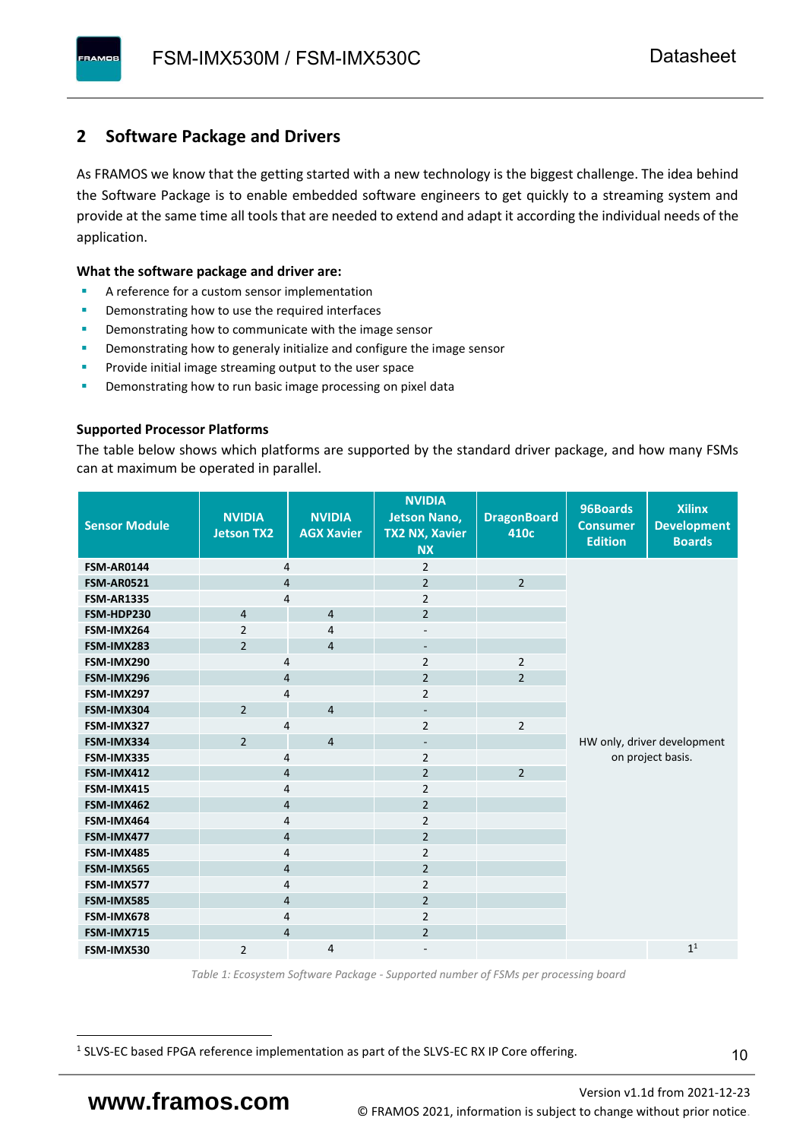### <span id="page-11-0"></span>**2 Software Package and Drivers**

As FRAMOS we know that the getting started with a new technology is the biggest challenge. The idea behind the Software Package is to enable embedded software engineers to get quickly to a streaming system and provide at the same time all tools that are needed to extend and adapt it according the individual needs of the application.

#### **What the software package and driver are:**

- A reference for a custom sensor implementation
- Demonstrating how to use the required interfaces
- Demonstrating how to communicate with the image sensor
- Demonstrating how to generaly initialize and configure the image sensor
- Provide initial image streaming output to the user space
- Demonstrating how to run basic image processing on pixel data

#### **Supported Processor Platforms**

The table below shows which platforms are supported by the standard driver package, and how many FSMs can at maximum be operated in parallel.

| <b>Sensor Module</b> | <b>NVIDIA</b><br><b>Jetson TX2</b> | <b>NVIDIA</b><br><b>AGX Xavier</b> | <b>NVIDIA</b><br><b>Jetson Nano,</b><br><b>TX2 NX, Xavier</b><br><b>NX</b> | <b>DragonBoard</b><br>410c | 96Boards<br><b>Consumer</b><br><b>Edition</b> | <b>Xilinx</b><br><b>Development</b><br><b>Boards</b> |  |
|----------------------|------------------------------------|------------------------------------|----------------------------------------------------------------------------|----------------------------|-----------------------------------------------|------------------------------------------------------|--|
| <b>FSM-AR0144</b>    | 4                                  |                                    | $\overline{2}$                                                             |                            |                                               |                                                      |  |
| <b>FSM-AR0521</b>    | $\overline{4}$                     |                                    | $\overline{2}$                                                             | $\overline{2}$             |                                               |                                                      |  |
| <b>FSM-AR1335</b>    | 4                                  |                                    | $\overline{2}$                                                             |                            |                                               |                                                      |  |
| FSM-HDP230           | $\overline{4}$                     | $\overline{4}$                     | $\overline{2}$                                                             |                            |                                               |                                                      |  |
| FSM-IMX264           | $\overline{2}$                     | $\overline{4}$                     | $\overline{\phantom{a}}$                                                   |                            |                                               |                                                      |  |
| FSM-IMX283           | $\overline{2}$                     | $\overline{4}$                     | $\overline{\phantom{a}}$                                                   |                            |                                               |                                                      |  |
| FSM-IMX290           | 4                                  |                                    | $\overline{2}$                                                             | $\overline{2}$             |                                               |                                                      |  |
| FSM-IMX296           | 4                                  |                                    | $\overline{2}$                                                             | $\overline{2}$             |                                               |                                                      |  |
| FSM-IMX297           | 4                                  |                                    | $\overline{2}$                                                             |                            |                                               |                                                      |  |
| FSM-IMX304           | $\overline{2}$                     | $\overline{4}$                     | $\overline{\phantom{a}}$                                                   |                            |                                               |                                                      |  |
| FSM-IMX327           | 4                                  |                                    | $\overline{2}$                                                             | $\overline{2}$             |                                               |                                                      |  |
| FSM-IMX334           | $\overline{2}$                     | $\overline{4}$                     | $\overline{\phantom{a}}$                                                   |                            | HW only, driver development                   |                                                      |  |
| FSM-IMX335           | 4                                  |                                    | $\overline{2}$                                                             |                            | on project basis.                             |                                                      |  |
| FSM-IMX412           | $\overline{4}$                     |                                    | $\overline{2}$                                                             | $\overline{2}$             |                                               |                                                      |  |
| FSM-IMX415           | 4                                  |                                    | $\overline{2}$                                                             |                            |                                               |                                                      |  |
| FSM-IMX462           | $\overline{\mathbf{4}}$            |                                    | $\overline{2}$                                                             |                            |                                               |                                                      |  |
| FSM-IMX464           | $\overline{4}$                     |                                    | $\overline{2}$                                                             |                            |                                               |                                                      |  |
| FSM-IMX477           | $\overline{4}$                     |                                    | $\overline{2}$                                                             |                            |                                               |                                                      |  |
| FSM-IMX485           | $\overline{4}$                     |                                    | $\overline{2}$                                                             |                            |                                               |                                                      |  |
| FSM-IMX565           | $\overline{4}$                     |                                    | $\overline{2}$                                                             |                            |                                               |                                                      |  |
| FSM-IMX577           | $\overline{4}$                     |                                    | $\overline{2}$                                                             |                            |                                               |                                                      |  |
| FSM-IMX585           | $\overline{4}$                     |                                    | $\overline{2}$                                                             |                            |                                               |                                                      |  |
| FSM-IMX678           | 4                                  |                                    | $\overline{2}$                                                             |                            |                                               |                                                      |  |
| FSM-IMX715           | $\overline{4}$                     |                                    | $\overline{2}$                                                             |                            |                                               |                                                      |  |
| FSM-IMX530           | $\overline{2}$                     | $\overline{4}$                     |                                                                            |                            |                                               | 1 <sup>1</sup>                                       |  |

*Table 1: Ecosystem Software Package - Supported number of FSMs per processing board*

<sup>1</sup> SLVS-EC based FPGA reference implementation as part of the SLVS-EC RX IP Core offering.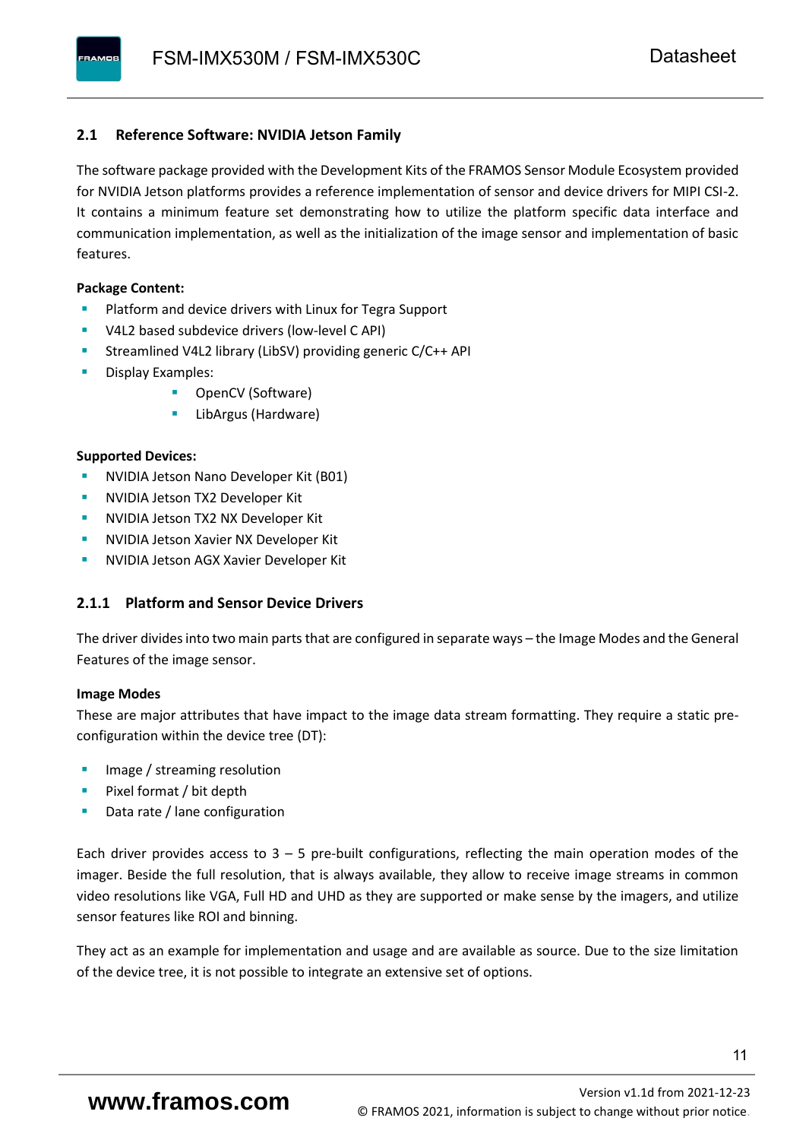#### <span id="page-12-0"></span>**2.1 Reference Software: NVIDIA Jetson Family**

The software package provided with the Development Kits of the FRAMOS Sensor Module Ecosystem provided for NVIDIA Jetson platforms provides a reference implementation of sensor and device drivers for MIPI CSI-2. It contains a minimum feature set demonstrating how to utilize the platform specific data interface and communication implementation, as well as the initialization of the image sensor and implementation of basic features.

#### **Package Content:**

- Platform and device drivers with Linux for Tegra Support
- V4L2 based subdevice drivers (low-level C API)
- Streamlined V4L2 library (LibSV) providing generic C/C++ API
- Display Examples:
	- OpenCV (Software)
	- LibArgus (Hardware)

#### **Supported Devices:**

- NVIDIA Jetson Nano Developer Kit (B01)
- **NVIDIA Jetson TX2 Developer Kit**
- NVIDIA Jetson TX2 NX Developer Kit
- **NVIDIA Jetson Xavier NX Developer Kit**
- **NVIDIA Jetson AGX Xavier Developer Kit**

#### <span id="page-12-1"></span>**2.1.1 Platform and Sensor Device Drivers**

The driver divides into two main parts that are configured in separate ways – the Image Modes and the General Features of the image sensor.

#### **Image Modes**

These are major attributes that have impact to the image data stream formatting. They require a static preconfiguration within the device tree (DT):

- Image / streaming resolution
- Pixel format / bit depth
- Data rate / lane configuration

Each driver provides access to  $3 - 5$  pre-built configurations, reflecting the main operation modes of the imager. Beside the full resolution, that is always available, they allow to receive image streams in common video resolutions like VGA, Full HD and UHD as they are supported or make sense by the imagers, and utilize sensor features like ROI and binning.

They act as an example for implementation and usage and are available as source. Due to the size limitation of the device tree, it is not possible to integrate an extensive set of options.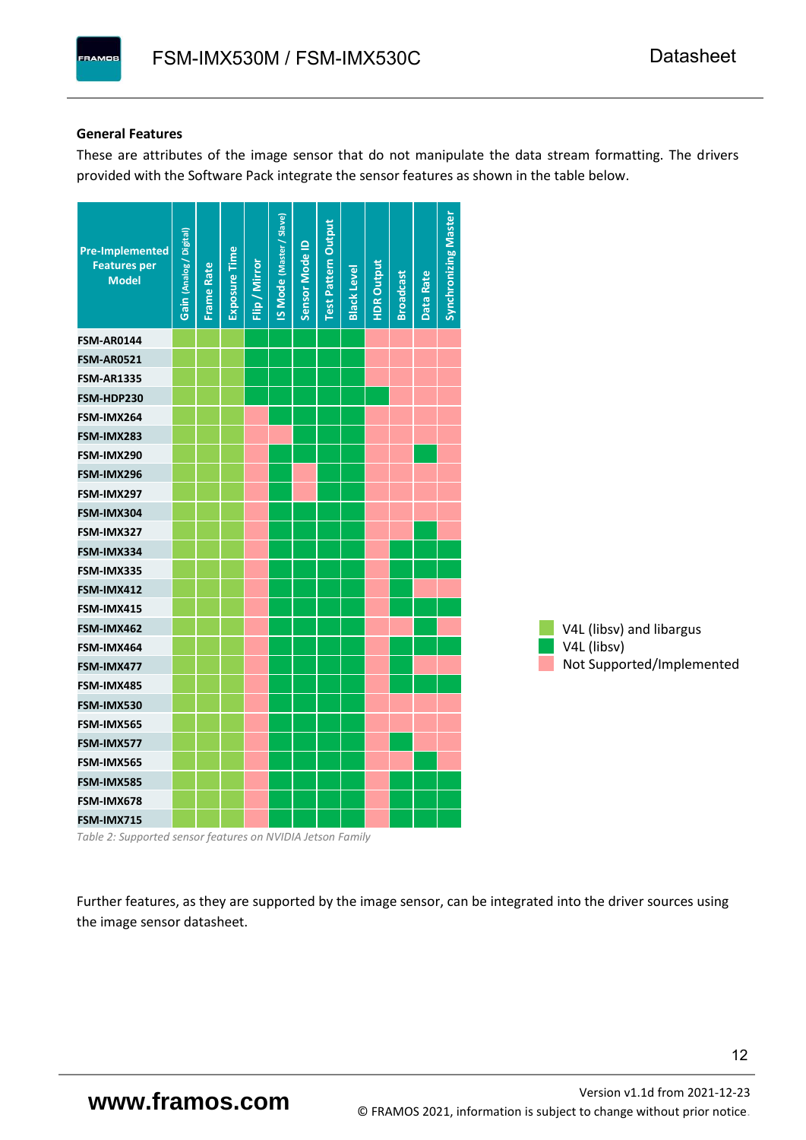#### **General Features**

These are attributes of the image sensor that do not manipulate the data stream formatting. The drivers provided with the Software Pack integrate the sensor features as shown in the table below.

| <b>Pre-Implemented</b><br><b>Features per</b><br><b>Model</b> | Gain (Analog / Digital) | <b>Frame Rate</b> | <b>Exposure Time</b> | Flip / Mirror | <b>IS Mode (Master / Slave)</b> | Sensor Mode ID | <b>Test Pattern Output</b> | <b>Black Level</b> | <b>HDR Output</b> | <b>Broadcast</b> | Data Rate | <b>Synchronizing Master</b> |                           |
|---------------------------------------------------------------|-------------------------|-------------------|----------------------|---------------|---------------------------------|----------------|----------------------------|--------------------|-------------------|------------------|-----------|-----------------------------|---------------------------|
| <b>FSM-AR0144</b>                                             |                         |                   |                      |               |                                 |                |                            |                    |                   |                  |           |                             |                           |
| <b>FSM-AR0521</b>                                             |                         |                   |                      |               |                                 |                |                            |                    |                   |                  |           |                             |                           |
| <b>FSM-AR1335</b>                                             |                         |                   |                      |               |                                 |                |                            |                    |                   |                  |           |                             |                           |
| FSM-HDP230                                                    |                         |                   |                      |               |                                 |                |                            |                    |                   |                  |           |                             |                           |
| FSM-IMX264                                                    |                         |                   |                      |               |                                 |                |                            |                    |                   |                  |           |                             |                           |
| FSM-IMX283                                                    |                         |                   |                      |               |                                 |                |                            |                    |                   |                  |           |                             |                           |
| FSM-IMX290                                                    |                         |                   |                      |               |                                 |                |                            |                    |                   |                  |           |                             |                           |
| FSM-IMX296                                                    |                         |                   |                      |               |                                 |                |                            |                    |                   |                  |           |                             |                           |
| FSM-IMX297                                                    |                         |                   |                      |               |                                 |                |                            |                    |                   |                  |           |                             |                           |
| FSM-IMX304                                                    |                         |                   |                      |               |                                 |                |                            |                    |                   |                  |           |                             |                           |
| FSM-IMX327                                                    |                         |                   |                      |               |                                 |                |                            |                    |                   |                  |           |                             |                           |
| FSM-IMX334                                                    |                         |                   |                      |               |                                 |                |                            |                    |                   |                  |           |                             |                           |
| FSM-IMX335                                                    |                         |                   |                      |               |                                 |                |                            |                    |                   |                  |           |                             |                           |
| FSM-IMX412                                                    |                         |                   |                      |               |                                 |                |                            |                    |                   |                  |           |                             |                           |
| FSM-IMX415                                                    |                         |                   |                      |               |                                 |                |                            |                    |                   |                  |           |                             |                           |
| FSM-IMX462                                                    |                         |                   |                      |               |                                 |                |                            |                    |                   |                  |           |                             | V4L (libsv) and libargus  |
| FSM-IMX464                                                    |                         |                   |                      |               |                                 |                |                            |                    |                   |                  |           |                             | V4L (libsv)               |
| FSM-IMX477                                                    |                         |                   |                      |               |                                 |                |                            |                    |                   |                  |           |                             | Not Supported/Implemented |
| FSM-IMX485                                                    |                         |                   |                      |               |                                 |                |                            |                    |                   |                  |           |                             |                           |
| FSM-IMX530                                                    |                         |                   |                      |               |                                 |                |                            |                    |                   |                  |           |                             |                           |
| FSM-IMX565                                                    |                         |                   |                      |               |                                 |                |                            |                    |                   |                  |           |                             |                           |
| FSM-IMX577                                                    |                         |                   |                      |               |                                 |                |                            |                    |                   |                  |           |                             |                           |
| FSM-IMX565                                                    |                         |                   |                      |               |                                 |                |                            |                    |                   |                  |           |                             |                           |
| FSM-IMX585                                                    |                         |                   |                      |               |                                 |                |                            |                    |                   |                  |           |                             |                           |
| FSM-IMX678                                                    |                         |                   |                      |               |                                 |                |                            |                    |                   |                  |           |                             |                           |
| FSM-IMX715                                                    |                         |                   |                      |               |                                 |                |                            |                    |                   |                  |           |                             |                           |

*Table 2: Supported sensor features on NVIDIA Jetson Family*

Further features, as they are supported by the image sensor, can be integrated into the driver sources using the image sensor datasheet.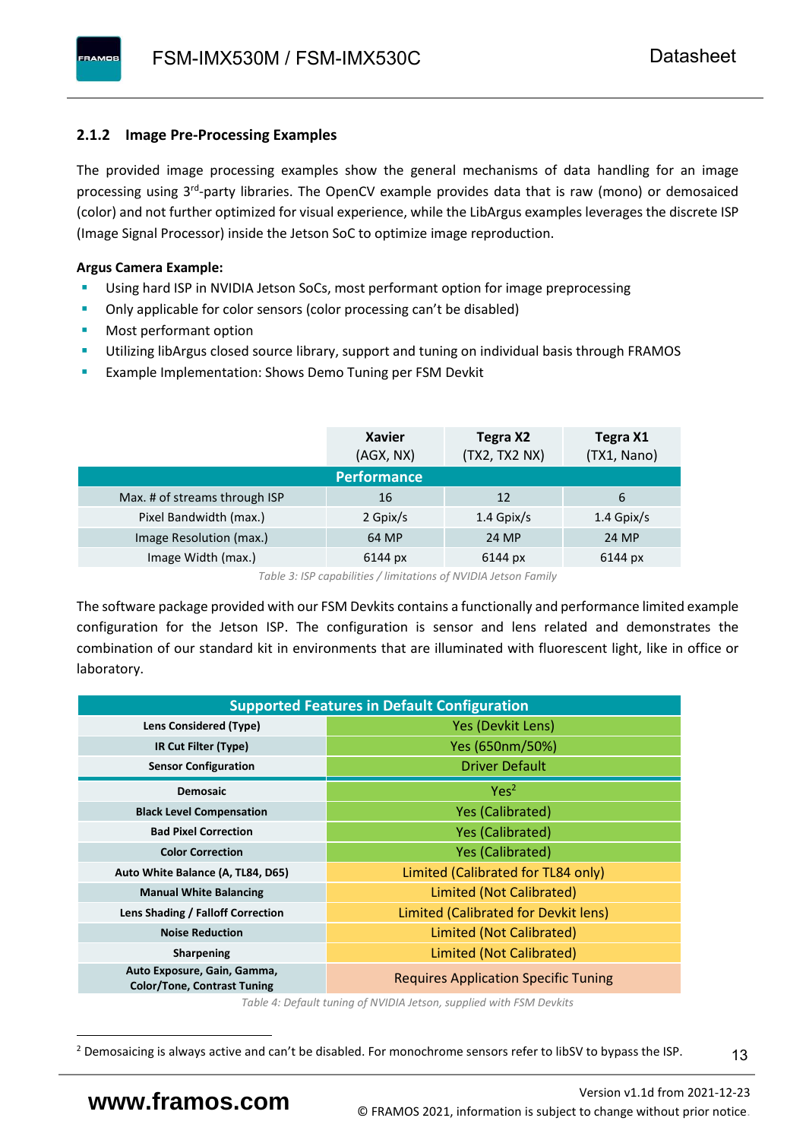#### <span id="page-14-0"></span>**2.1.2 Image Pre-Processing Examples**

The provided image processing examples show the general mechanisms of data handling for an image processing using 3<sup>rd</sup>-party libraries. The OpenCV example provides data that is raw (mono) or demosaiced (color) and not further optimized for visual experience, while the LibArgus examples leverages the discrete ISP (Image Signal Processor) inside the Jetson SoC to optimize image reproduction.

#### **Argus Camera Example:**

- Using hard ISP in NVIDIA Jetson SoCs, most performant option for image preprocessing
- Only applicable for color sensors (color processing can't be disabled)
- Most performant option
- Utilizing libArgus closed source library, support and tuning on individual basis through FRAMOS
- Example Implementation: Shows Demo Tuning per FSM Devkit

|                               | <b>Xavier</b><br>(AGX, NX) | Tegra X2<br>(TX2, TX2 NX) | Tegra X1<br>(TX1, Nano) |
|-------------------------------|----------------------------|---------------------------|-------------------------|
|                               | <b>Performance</b>         |                           |                         |
| Max. # of streams through ISP | 16                         | 12                        | 6                       |
| Pixel Bandwidth (max.)        | 2 Gpix/s                   | $1.4$ Gpix/s              | $1.4$ Gpix/s            |
| Image Resolution (max.)       | 64 MP                      | 24 MP                     | 24 MP                   |
| Image Width (max.)            | 6144 px                    | 6144 px                   | 6144 px                 |

*Table 3: ISP capabilities / limitations of NVIDIA Jetson Family*

The software package provided with our FSM Devkits contains a functionally and performance limited example configuration for the Jetson ISP. The configuration is sensor and lens related and demonstrates the combination of our standard kit in environments that are illuminated with fluorescent light, like in office or laboratory.

|                                                                   | <b>Supported Features in Default Configuration</b> |  |  |  |  |
|-------------------------------------------------------------------|----------------------------------------------------|--|--|--|--|
| <b>Lens Considered (Type)</b>                                     | Yes (Devkit Lens)                                  |  |  |  |  |
| IR Cut Filter (Type)                                              | Yes (650nm/50%)                                    |  |  |  |  |
| <b>Sensor Configuration</b>                                       | <b>Driver Default</b>                              |  |  |  |  |
| <b>Demosaic</b>                                                   | Yes <sup>2</sup>                                   |  |  |  |  |
| <b>Black Level Compensation</b>                                   | <b>Yes (Calibrated)</b>                            |  |  |  |  |
| <b>Bad Pixel Correction</b>                                       | <b>Yes (Calibrated)</b>                            |  |  |  |  |
| <b>Color Correction</b>                                           | <b>Yes (Calibrated)</b>                            |  |  |  |  |
| Auto White Balance (A, TL84, D65)                                 | Limited (Calibrated for TL84 only)                 |  |  |  |  |
| <b>Manual White Balancing</b>                                     | Limited (Not Calibrated)                           |  |  |  |  |
| Lens Shading / Falloff Correction                                 | Limited (Calibrated for Devkit lens)               |  |  |  |  |
| <b>Noise Reduction</b>                                            | Limited (Not Calibrated)                           |  |  |  |  |
| <b>Sharpening</b>                                                 | Limited (Not Calibrated)                           |  |  |  |  |
| Auto Exposure, Gain, Gamma,<br><b>Color/Tone, Contrast Tuning</b> | <b>Requires Application Specific Tuning</b>        |  |  |  |  |

*Table 4: Default tuning of NVIDIA Jetson, supplied with FSM Devkits*

13

<sup>&</sup>lt;sup>2</sup> Demosaicing is always active and can't be disabled. For monochrome sensors refer to libSV to bypass the ISP.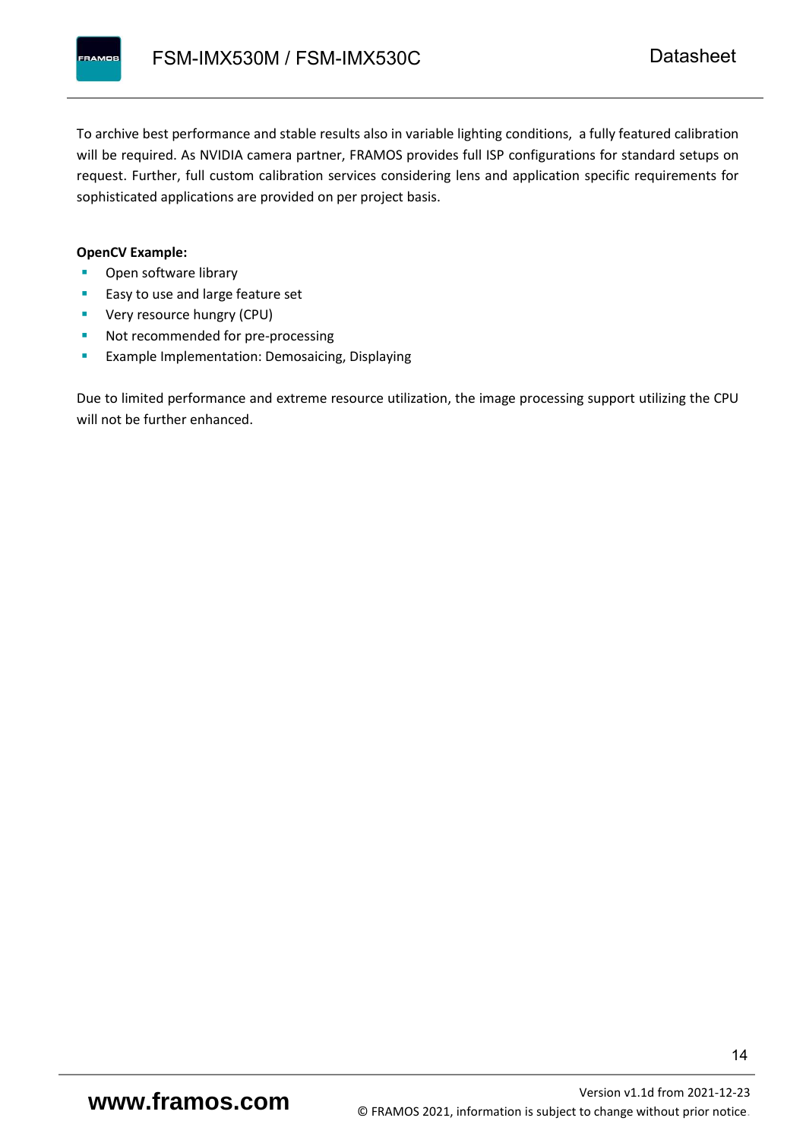To archive best performance and stable results also in variable lighting conditions, a fully featured calibration will be required. As NVIDIA camera partner, FRAMOS provides full ISP configurations for standard setups on request. Further, full custom calibration services considering lens and application specific requirements for sophisticated applications are provided on per project basis.

#### **OpenCV Example:**

- Open software library
- Easy to use and large feature set
- **•** Very resource hungry (CPU)
- Not recommended for pre-processing
- **Example Implementation: Demosaicing, Displaying**

Due to limited performance and extreme resource utilization, the image processing support utilizing the CPU will not be further enhanced.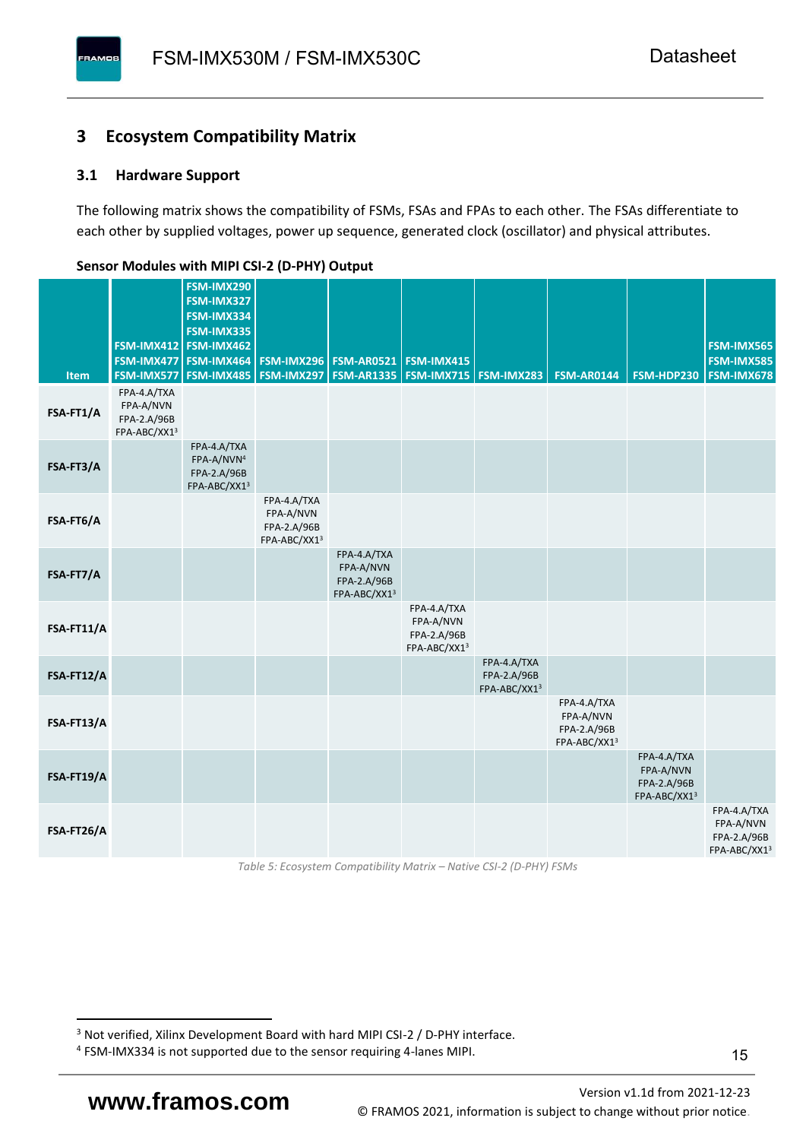#### <span id="page-16-0"></span>**3 Ecosystem Compatibility Matrix**

#### <span id="page-16-1"></span>**3.1 Hardware Support**

**PAMOS** 

The following matrix shows the compatibility of FSMs, FSAs and FPAs to each other. The FSAs differentiate to each other by supplied voltages, power up sequence, generated clock (oscillator) and physical attributes.

|            |                                                         | FSM-IMX290<br>FSM-IMX327                                             |                                                         |                                                         |                                                         |                                            |                                                         |                                                         |                                                         |
|------------|---------------------------------------------------------|----------------------------------------------------------------------|---------------------------------------------------------|---------------------------------------------------------|---------------------------------------------------------|--------------------------------------------|---------------------------------------------------------|---------------------------------------------------------|---------------------------------------------------------|
|            |                                                         | FSM-IMX334<br>FSM-IMX335                                             |                                                         |                                                         |                                                         |                                            |                                                         |                                                         |                                                         |
|            |                                                         | FSM-IMX412 FSM-IMX462<br>FSM-IMX477 FSM-IMX464                       |                                                         | <b>FSM-IMX296 FSM-AR0521</b>                            | FSM-IMX415                                              |                                            |                                                         |                                                         | FSM-IMX565<br><b>FSM-IMX585</b>                         |
| Item       | FSM-IMX577                                              | FSM-IMX485                                                           |                                                         | <b>FSM-IMX297   FSM-AR1335  </b>                        | <b>FSM-IMX715 FSM-IMX283</b>                            |                                            | <b>FSM-AR0144</b>                                       | FSM-HDP230                                              | <b>FSM-IMX678</b>                                       |
| FSA-FT1/A  | FPA-4.A/TXA<br>FPA-A/NVN<br>FPA-2.A/96B<br>FPA-ABC/XX13 |                                                                      |                                                         |                                                         |                                                         |                                            |                                                         |                                                         |                                                         |
| FSA-FT3/A  |                                                         | FPA-4.A/TXA<br>FPA-A/NVN <sup>4</sup><br>FPA-2.A/96B<br>FPA-ABC/XX13 |                                                         |                                                         |                                                         |                                            |                                                         |                                                         |                                                         |
| FSA-FT6/A  |                                                         |                                                                      | FPA-4.A/TXA<br>FPA-A/NVN<br>FPA-2.A/96B<br>FPA-ABC/XX13 |                                                         |                                                         |                                            |                                                         |                                                         |                                                         |
| FSA-FT7/A  |                                                         |                                                                      |                                                         | FPA-4.A/TXA<br>FPA-A/NVN<br>FPA-2.A/96B<br>FPA-ABC/XX13 |                                                         |                                            |                                                         |                                                         |                                                         |
| FSA-FT11/A |                                                         |                                                                      |                                                         |                                                         | FPA-4.A/TXA<br>FPA-A/NVN<br>FPA-2.A/96B<br>FPA-ABC/XX13 |                                            |                                                         |                                                         |                                                         |
| FSA-FT12/A |                                                         |                                                                      |                                                         |                                                         |                                                         | FPA-4.A/TXA<br>FPA-2.A/96B<br>FPA-ABC/XX13 |                                                         |                                                         |                                                         |
| FSA-FT13/A |                                                         |                                                                      |                                                         |                                                         |                                                         |                                            | FPA-4.A/TXA<br>FPA-A/NVN<br>FPA-2.A/96B<br>FPA-ABC/XX13 |                                                         |                                                         |
| FSA-FT19/A |                                                         |                                                                      |                                                         |                                                         |                                                         |                                            |                                                         | FPA-4.A/TXA<br>FPA-A/NVN<br>FPA-2.A/96B<br>FPA-ABC/XX13 |                                                         |
| FSA-FT26/A |                                                         |                                                                      |                                                         |                                                         |                                                         |                                            |                                                         |                                                         | FPA-4.A/TXA<br>FPA-A/NVN<br>FPA-2.A/96B<br>FPA-ABC/XX13 |

#### <span id="page-16-2"></span>**Sensor Modules with MIPI CSI-2 (D-PHY) Output**

*Table 5: Ecosystem Compatibility Matrix – Native CSI-2 (D-PHY) FSMs*

<sup>&</sup>lt;sup>3</sup> Not verified, Xilinx Development Board with hard MIPI CSI-2 / D-PHY interface.

<sup>4</sup> FSM-IMX334 is not supported due to the sensor requiring 4-lanes MIPI.